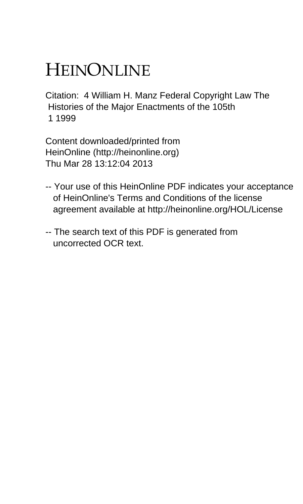# HEINONLINE

Citation: 4 William H. Manz Federal Copyright Law The Histories of the Major Enactments of the 105th 1 1999

Content downloaded/printed from HeinOnline (http://heinonline.org) Thu Mar 28 13:12:04 2013

- -- Your use of this HeinOnline PDF indicates your acceptance of HeinOnline's Terms and Conditions of the license agreement available at http://heinonline.org/HOL/License
- -- The search text of this PDF is generated from uncorrected OCR text.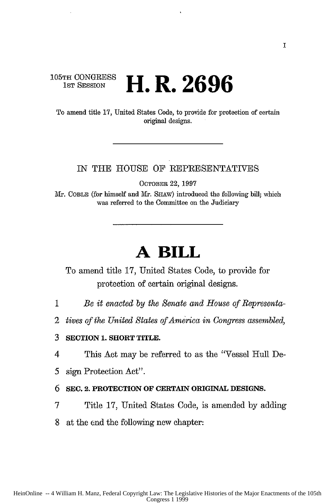### **105TH CONGRESS 1ST** SESSION **H.** R.2696

To amend title 17, United States Code, to provide for protection of certain original designs.

#### IN THE HOUSE OF REPRESENTATIVES

OCTOBER 22, 1997

Mr. COBLE (for himself and Mr. SHAW) introduced the following bill; which was referred to the Committee on the Judiciary

## **A BILL**

To amend title 17, United States Code, to provide for protection of certain original designs.

- 1 *Be it enacted by the Senate and House of Representa-*
- 2 *tives of the United States of America in Congress assembled,*

**3 SECTION 1. SHORT TITLE.**

4 This Act may be referred to as the "Vessel Hull De-

*5* sign Protection Act".

#### **6 SEC.** 2. **PROTECTION OF CERTAIN ORIGINAL DESIGNS.**

7 Title 17, United States Code, is amended by adding

8 at the end the following new chapter: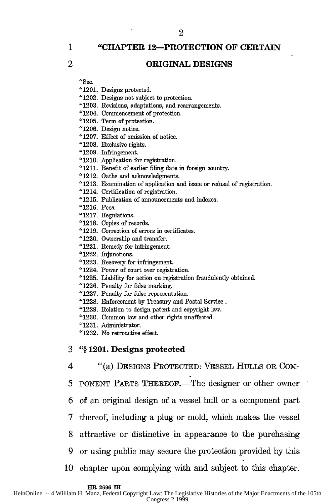$\mathbf{1}$ 

"CHAPTER 12-PROTECTION OF **CERTAIN**

#### 2 ORIGINAL **DESIGNS**

"Sec.

"1201. Designs protected. "1202. Designs not subject to protection.

"1203. Revisions, adaptations, and rearrangements.

"1204. Commencement of protection.

"1205. Term of protection.

"1206. Design notice.

"1207. Effect of omission of notice.

"1208. Exclusive rights.

"1209. Infringement.

"1210. Application for registration.

"1211. Benefit of earlier filing date in foreign country.

"1212. Oaths and acknowledgments.

"1213. Examination of application and issue or refusal of registration.

"1214. Certification of registration.

**"1215.** Publication of announcements and indexes.

"1216. Fees.

"1217. Regulations.

"1218. Copies of records.

"1219. Correction of errors in certificates.

"1220. Ownership and transfer.

"1221. Remedy for infringement.

"1222. Injunctions.

"1223. Recovery for infringement.

"1224. Power of court over registration.

"1225. Liability for action on registration fraudulently obtained.

"1226. Penalty for false marking.

"1227. Penalty for false representation.

"1228. Enforcement by Treasury and Postal Service.

"1229. Relation to design patent and copyright law.

"1230. Common law and other rights unaffected.

"1231. Administrator.

"1232. No retroactive effect.

**3 "§** 1201. Designs protected

4 "(a) DESIGNS PROTECTED: VESSEL HULLS OR COM-

5 PONENT PARTS THEREOF.—The designer or other owner

6 of an original design of a vessel hull or a component part

**7** thereof, including a plug or mold, which makes the vessel

8 attractive or distinctive in appearance to the purchasing

9 or using public may secure the protection provided by this

10 chapter upon complying with and subject to this chapter.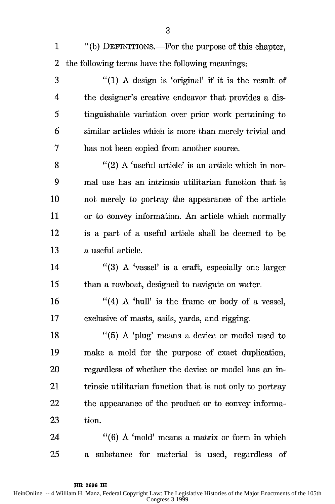- 1 "(b) DEFINITIONS.-For the purpose of this chapter, 2 the following terms have the following meanings:
- 3 "(1) A design is 'original' if it is the result of 4 the designer's creative endeavor that provides a dis-*5* tinguishable variation over prior work pertaining to 6 similar articles which is more than merely trivial and 7 has not been copied from another source.

8  $"$ (2) A 'useful article' is an article which in nor-9 mal use has an intrinsic utilitarian function that is 10 not merely to portray the appearance of the article 11 or to convey information. An article which normally 12 is a part of a useful article shall be deemed to be 13 a useful article.

14 "(3) A 'vessel' is a craft, especially one larger 15 than a rowboat, designed to navigate on water.

16  $"$ (4) A 'hull' is the frame or body of a vessel, 17 exclusive of masts, sails, yards, and rigging.

18 "(5) A 'plug' means a device or model used to 19 make a mold for the purpose of exact duplication, 20 regardless of whether the device or model has an in-21 trinsic utilitarian function that is not only to portray 22 the appearance of the product or to convey informa-23 tion.

24 "(6) A 'mold' means a matrix or form in which 25 a substance for material is used, regardless of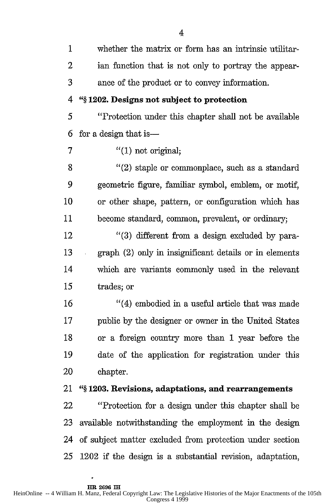| $\mathbf 1$ | whether the matrix or form has an intrinsic utilitar-     |
|-------------|-----------------------------------------------------------|
| 2           | ian function that is not only to portray the appear-      |
| 3           | ance of the product or to convey information.             |
| 4           | "§1202. Designs not subject to protection                 |
| 5           | "Protection under this chapter shall not be available     |
| 6           | for a design that is —                                    |
| 7           | $''(1)$ not original;                                     |
| 8           | $''(2)$ staple or commonplace, such as a standard         |
| 9           | geometric figure, familiar symbol, emblem, or motif,      |
| 10          | or other shape, pattern, or configuration which has       |
| 11          | become standard, common, prevalent, or ordinary;          |
| 12          | $\lq(3)$ different from a design excluded by para-        |
| 13          | graph (2) only in insignificant details or in elements    |
| 14          | which are variants commonly used in the relevant          |
| 15          | trades; or                                                |
| 16          | "(4) embodied in a useful article that was made           |
| 17          | public by the designer or owner in the United States      |
| 18          | or a foreign country more than 1 year before the          |
| 19          | date of the application for registration under this       |
| 20          | chapter.                                                  |
| 21          | "§1203. Revisions, adaptations, and rearrangements        |
| 22          | "Protection for a design under this chapter shall be      |
| 23          | available notwithstanding the employment in the design    |
| 24          | of subject matter excluded from protection under section  |
| 25          | 1202 if the design is a substantial revision, adaptation, |

à.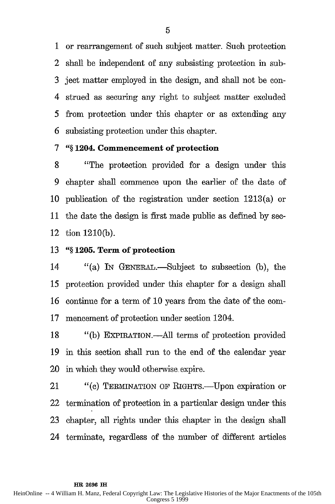1 or rearrangement of such subject matter. Such protection 2 shall be independent of any subsisting protection in sub-3 ject matter employed in the design, and shall not be con-4 strued as securing any right to subject matter excluded *5* from protection under this chapter or as extending any 6 subsisting protection under this chapter.

#### **7** *"§* **1204. Commencement of protection**

8 "The protection provided for a design under this 9 chapter shall commence upon the earlier of the date of 10 publication of the registration under section 1213(a) or 11 the date the design is first made public as defined by sec-12 tion 1210(b).

#### **13** *"§* **1205. Term of protection**

**HR 2696 IH**

14 "(a) IN GENERAL.-Subject to subsection (b), the *15* protection provided under this chapter for a design shall 16 continue for a term of 10 years from the date of the com-17 mencement of protection under section 1204.

18 "(b) EXPIRATION.-All terms of protection provided 19 in this section shall run to the end of the calendar year 20 in which they would otherwise expire.

21 "(c) TERMINATION OF RIGHTS.—Upon expiration or 22 termination of protection in a particular design under this 23 chapter, all rights under this chapter in the design shall 24 terminate, regardless of the number of different articles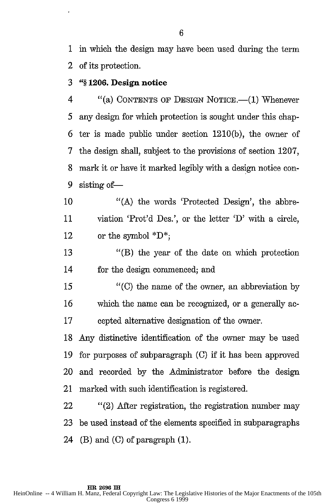1 in which the design may have been used during the term 2 of its protection.

**3** *"§* **1206. Design notice**

4 "(a) CONTENTS OF DESIGN NOTICE.—(1) Whenever *5* any design for which protection is sought under this chap-6 ter is made public under section 1210(b), the owner of 7 the design shall, subject to the provisions of section 1207, 8 mark it or have it marked legibly with a design notice con-9 sisting of-

10 "(A) the words 'Protected Design', the abbre-11 viation 'Prot'd Des.', or the letter *'D'* with a circle, 12 or the symbol  $^*D^*$ ;

13 "(B) the year of the date on which protection 14 for the design commenced; and

*15* "(C) the name of the owner, an abbreviation by 16 which the name can be recognized, or a generally ac-17 cepted alternative designation of the owner.

18 Any distinctive identification of the owner may be used 19 for purposes of subparagraph (C) if it has been approved 20 and recorded by the Administrator before the design 21 marked with such identification is registered.

22 "(2) After registration, the registration number may 23 be used instead of the elements specified in subparagraphs 24 (B) and (C) of paragraph  $(1)$ .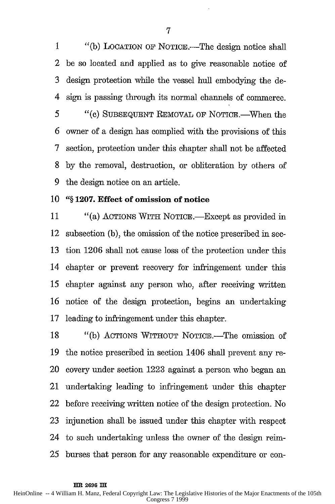1 "(b) LOCATION OF NOTICE.—The design notice shall 2 be so located and applied as to give reasonable notice of 3 design protection while the vessel hull embodying the de-4 sign is passing through its normal channels of commerce. *5* "(C) SUBSEQUENT REMOVAL OF NOTICE.-When the 6 owner of a design has complied with the provisions of this 7 section, protection under this chapter shall not be affected 8 by the removal, destruction, or obliteration by others of 9 the design notice on an article.

#### **10 "§ 1207. Effect of omission of notice**

11 "(a) ACTIONS WITH NOTICE.—Except as provided in 12 subsection (b), the omission of the notice prescribed in sec-13 tion 1206 shall not cause loss of the protection under this 14 chapter or prevent recovery for infringement under this *15* chapter against any person who, after receiving written 16 notice of the design protection, begins an undertaking 17 leading to infringement under this chapter.

18 "(b) ACTIONS WITHOUT NOTICE.—The omission of 19 the notice prescribed in section 1406 shall prevent any re-20 covery under section 1223 against a person who began an 21 undertaking leading to infringement under this chapter 22 before receiving written notice of the design protection. No 23 injunction shall be issued under this chapter with respect 24 to such undertaking unless the owner of the design rein-25 burses that person for any reasonable expenditure or con-

**HR 2696 IH**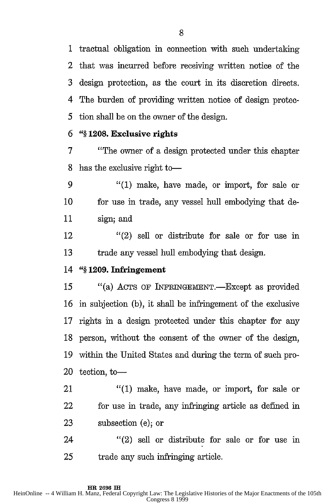1 tractual obligation in connection with such undertaking 2 that was incurred before receiving written notice of the 3 design protection, as the court in its discretion directs. 4 The burden of providing written notice of design protec-5 tion shall be on the owner of the design.

#### **6** *"§* **1208. Exclusive rights**

**7** "The owner of a design protected under this chapter 8 has the exclusive right to-

9 "(1) make, have made, or import, for sale or 10 for use in trade, any vessel hull embodying that de-11 sign; and

12 "(2) sell or distribute for sale or for use in 13 trade any vessel hull embodying that design.

#### **14** *"§* **1209. Infringement**

15 "(a) ACTS OF INFRINGEMENT.—Except as provided 16 in subjection (b), it shall be infringement of the exclusive 17 rights in a design protected under this chapter for any 18 person, without the consent of the owner of the design, 19 within the United States and during the term of such pro-20 tection, to  $-$ 

21 "(1) make, have made, or import, for sale or 22 for use in trade, any infringing article as defined in 23 subsection (e); or

24 "(2) sell or distribute for sale or for use in 25 trade any such infringing article.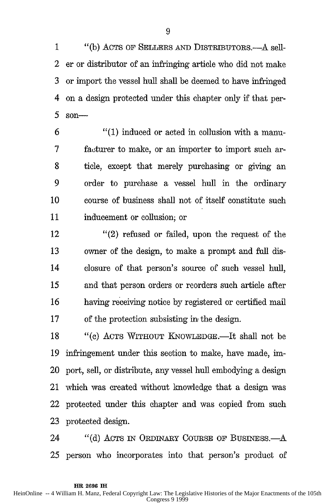1 "(b) ACTS OF SELLERS **AND** DISTRIBUTORS.-A sell-2 er or distributor of an infringing article who did not make 3 or import the vessel hull shall be deemed to have infringed 4 on a design protected under this chapter only if that per-**5** son-

6 "(1) induced or acted in collusion with a manu-7 faturer to make, or an importer to import such ar-8 ticle, except that merely purchasing or giving an 9 order to purchase a vessel hull in the ordinary 10 course of business shall not of itself constitute such 11 inducement or collusion; or

12 "(2) refused or failed, upon the request of the 13 owner of the design, to make a prompt and full dis-14 closure of that person's source of such vessel hull, *15* and that person orders or reorders such article after 16 having receiving notice by registered or certified mail 17 of the protection subsisting in the design.

18 "(c) ACTS WITHOUT KNOWLEDGE.—It shall not be 19 infringement under this section to make, have made, im-20 port, sell, or distribute, any vessel hull embodying a design 21 which was created without knowledge that a design was 22 protected under this chapter and was copied from such 23 protected design.

24 "(d) ACTS IN ORDINARY COURSE OF BUSINESS.—A 25 person who incorporates into that person's product of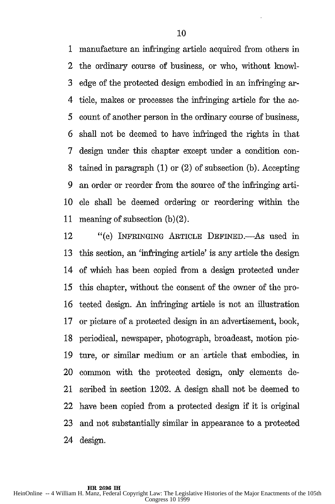1 manufacture an infringing article acquired from others in 2 the ordinary course of business, or who, without knowl-3 edge of the protected design embodied in an infringing ar-4 tide, makes or processes the infringing article for the ac-5 count of another person in the ordinary course of business, 6 shall not be deemed to have infringed the rights in that 7 design under this chapter except under a condition con-8 tained in paragraph (1) or (2) of subsection (b). Accepting 9 an order or reorder from the source of the infringing arti-10 cle shall be deemed ordering or reordering within the 11 meaning of subsection (b)(2).

12 "(e) INFRINGING ARTICLE DEFINED.—As used in 13 this section, an 'infringing article' is any article the design 14 of which has been copied from a design protected under *15* this chapter, without the consent of the owner of the pro-16 tected design. An infringing article is not an illustration 17 or picture of a protected design in an advertisement, book, 18 periodical, newspaper, photograph, broadcast, motion pie-19 ture, or similar medium or an article that embodies, in 20 common with the protected design, only elements de-21 scribed in section 1202. A design shall not be deemed to 22 have been copied from a protected design if it is original 23 and not substantially similar in appearance to a protected 24 design.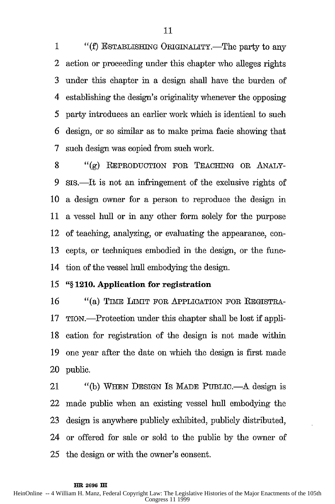1 "(f) ESTABLISHING ORIGINALITY.—The party to any 2 action or proceeding under this chapter who alleges rights 3 under this chapter in a design shall have the burden of 4 establishing the design's originality whenever the opposing 5 party introduces an earlier work which is identical to such 6 design, or so similar as to make prima facie showing that 7 such design was copied from such work.

8 "(g) REPRODUCTION FOR TEACHING OR ANALY-9 sis.—It is not an infringement of the exclusive rights of 10 a design owner for a person to reproduce the design in 11 a vessel hull or in any other form solely for the purpose 12 of teaching, analyzing, or evaluating the appearance, con-13 cepts, or techniques embodied in the design, or the func-14 tion of the vessel hull embodying the design.

#### **15 "§ 1210. Application for registration**

16 "(a) TIME LIMIT FOR APPLICATION FOR REGISTRA-17 TION.-Protection under this chapter shall be lost if appli-18 cation for registration of the design is not made within 19 one year after the date on which the design is first made 20 public.

21 "(b) WHEN DESIGN IS MADE PUBLIC.—A design is 22 made public when an existing vessel hull embodying the 23 design is anywhere publicly exhibited, publicly distributed, 24 or offered for sale or sold to the public by the owner of 25 the design or with the owner's consent.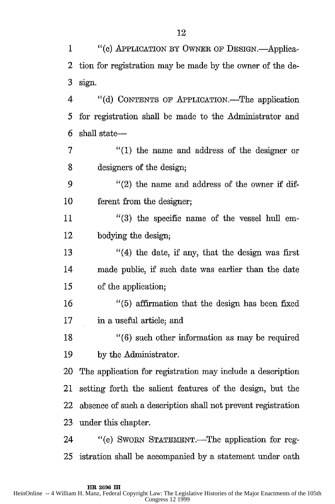|                                                                                                                                                                 | 20 The application for registration may include a description   |  |  |
|-----------------------------------------------------------------------------------------------------------------------------------------------------------------|-----------------------------------------------------------------|--|--|
| 21                                                                                                                                                              | setting forth the salient features of the design, but the       |  |  |
|                                                                                                                                                                 | 22 absence of such a description shall not prevent registration |  |  |
| 23                                                                                                                                                              | under this chapter.                                             |  |  |
| 24                                                                                                                                                              | "(e) SWORN STATEMENT.—The application for reg-                  |  |  |
|                                                                                                                                                                 | 25 istration shall be accompanied by a statement under oath     |  |  |
|                                                                                                                                                                 |                                                                 |  |  |
| HR 2696 IH<br>HeinOnline -- 4 William H. Manz, Federal Copyright Law: The Legislative Histories of the Major Enactments of the 105th<br><b>Congress 12 1999</b> |                                                                 |  |  |
|                                                                                                                                                                 |                                                                 |  |  |
|                                                                                                                                                                 |                                                                 |  |  |
|                                                                                                                                                                 |                                                                 |  |  |

1 "(c) APPLICATION BY OWNER OF DESIGN.-Applica-2 tion for registration may be made by the owner of the de-3 sign.

4 "(d) CONTENTS OF APPLICATION.—The application 5 for registration shall be made to the Administrator and 6 shall state-

7 "(1) the name and address of the designer or 8 designers of the design;

9 "(2) the name and address of the owner if dif-10 ferent from the designer;

11 "(3) the specific name of the vessel hull em-12 bodying the design;

13 "(4) the date, if any, that the design was first 14 made public, if such date was earlier than the date *15* of the application;

16 "(5) affirmation that the design has been fixed 17 in a useful article; and

18 "(6) such other information as may be required 19 by the Administrator.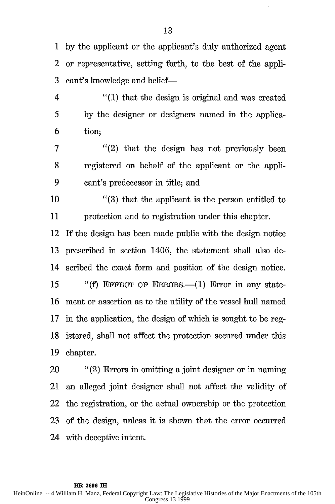1 by the applicant or the applicant's duly authorized agent 2 or representative, setting forth, to the best of the appli-3 cant's knowledge and belief-

4 "(1) that the design is original and was created *5* by the designer or designers named in the applica-6 tion;

7 "(2) that the design has not previously been 8 registered on behalf of the applicant or the appli-9 cant's predecessor in title; and

10 "(3) that the applicant is the person entitled to 11 protection and to registration under this chapter.

12 If the design has been made public with the design notice 13 prescribed in section 1406, the statement shall also de-14 scribed the exact form and position of the design notice. 15 "(f) EFFECT OF ERRORS.—(1) Error in any state-16 ment or assertion as to the utility of the vessel hull named 17 in the application, the design of which is sought to be reg-18 istered, shall not affect the protection secured under this 19 chapter.

20 "(2) Errors in omitting a joint designer or in naming 21 an alleged joint designer shall not affect the validity of 22 the registration, or the actual ownership or the protection 23 of the design, unless it is shown that the error occurred 24 with deceptive intent.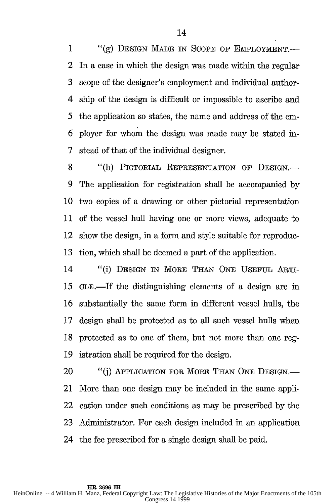1 "(g) DESIGN MADE IN SCOPE OF EMPLOYMENT. 2 In a case in which the design was made within the regular 3 scope of the designer's employment and individual author-4 ship of the design is difficult or impossible to ascribe and 5 the application so states, the name and address of the em-6 ployer for whom the design was made may be stated in-7 stead of that of the individual designer.

8 "(h) PICTORIAL REPRESENTATION OF DESIGN.-9 The application for registration shall be accompanied by 10 two copies of a drawing or other pictorial representation 11 of the vessel hull having one or more views, adequate to 12 show the design, in a form and style suitable for reproduc-13 tion, which shall be deemed a part of the application.

14 "(i) DESIGN IN MORE THAN ONE USEFUL ARTI-*15* CLE.-If the distinguishing elements of a design are in 16 substantially the same form in different vessel hulls, the 17 design shall be protected as to all such vessel hulls when 18 protected as to one of them, but not more than one reg-19 istration shall be required for the design.

20 "(j) APPLICATION FOR MORE THAN ONE DESIGN.-21 More than one design may be included in the same appli-22 cation under such conditions as may be prescribed by the 23 Administrator. For each design included in an application 24 the fee prescribed for a single design shall be paid.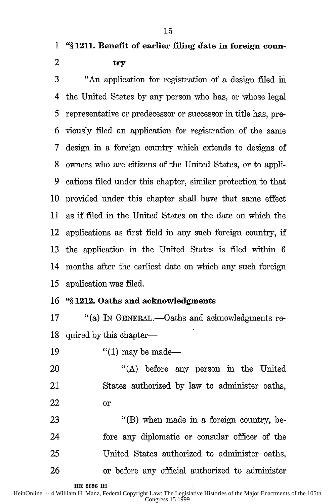#### **2 try**

3 "An application for registration of a design filed **na** 4 the United States by any person who has, or whose legal 5 representative or predecessor or successor in title has, pre-6 viously filed an application for registration of the same 7 design in a foreign country which extends to designs of 8 owners who are citizens of the United States, or to appli-9 cations filed under this chapter, similar protection to that 10 provided under this chapter shall have that same effect 11 as if filed in the United States on the date on which the 12 applications as first field in any such foreign country, if 13 the application in the United States is filed within 6 14 months after the earliest date on which any such foreign 15 application was filed.

#### **16 "§ 1212. Oaths and acknowledgments**

17 "(a) In GENERAL.—Oaths and acknowledgments re-18 quired by this chapter-

19  $"(1)$  may be made—

20 "(A) before any person in the United 21 States authorized by law to administer oaths, 22 or

23 "(B) when made in a foreign country, be-24 fore any diplomatic or consular officer of the 25 United States authorized to administer oaths, 26 or before any official authorized to administer

**HR 2696 IX**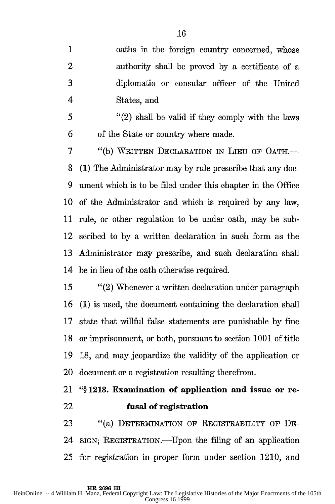1 oaths in the foreign country concerned, whose 2 authority shall be proved by a certificate of a 3 diplomatic or consular officer of the United 4 States, and

5 "(2) shall be valid if they comply with the laws 6 of the State or country where made.

7 "(b) WRITTEN DECLARATION IN LIEU OF OATH.- 8 **(1)** The Administrator may by rule prescribe that any doc-9 ument which is to be filed under this chapter in the Office **10** of the Administrator and which is required by any law, **11** rule, or other regulation to be under oath, may be sub-12 scribed to by a written declaration in such form as the 13 Administrator may prescribe, and such declaration shall 14 be in lieu of the oath otherwise required.

*15* "(2) Whenever a written declaration under paragraph 16 (1) is used, the document containing the declaration shall 17 state that willful false statements are punishable by fine 18 or imprisonment, or both, pursuant to section 1001 of title 19 18, and may jeopardize the validity of the application or 20 document or a registration resulting therefrom.

## 21 **"§ 1213. Examination of application and issue or re-**22 **fusal of registration**

23 "(a) DETERMINATION OF REGISTRABILITY OF DE-24 SIGN; REGISTRATION.—Upon the filing of an application 25 for registration in proper form under section 1210, and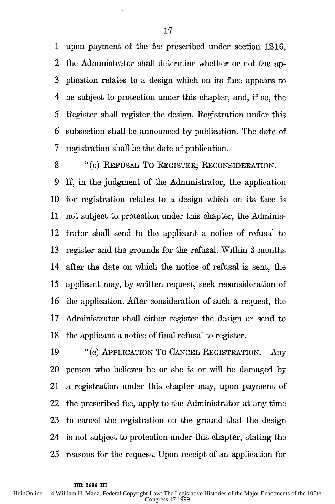1 upon payment of the fee prescribed under section 1216, 2 the Administrator shall determine whether or not the ap-3 plication relates to a design which on its face appears to 4 be subject to protection under this chapter, and, if so, the 5 Register shall register the design. Registration under this 6 subsection shall be announced by publication. The date of 7 registration shall be the date of publication.

8 "(b) REFUSAL TO REGISTER; RECONSIDERATION.-9 If, in the judgment of the Administrator, the application 10 for registration relates to a design which on its face is 11 not subject to protection under this chapter, the Adminis-12 trator shall send to the applicant a notice of refusal to 13 register and the grounds for the refusal. Within 3 months 14 after the date on which the notice of refusal is sent, the 15 applicant may, by written request, seek reconsideration of 16 the application. After consideration of such a request, the 17 Administrator shall either register the design or send to 18 the applicant a notice of final refusal to register.

19 "(c) APPLICATION TO CANCEL REGISTRATION. Any 20 person who believes he or she is or will be damaged by 21 a registration under this chapter may, upon payment of 22 the prescribed fee, apply to the Administrator at any time 23 to cancel the registration on the ground that the design 24 is not subject to protection under this chapter, stating the 25 reasons for the request. Upon receipt of an application for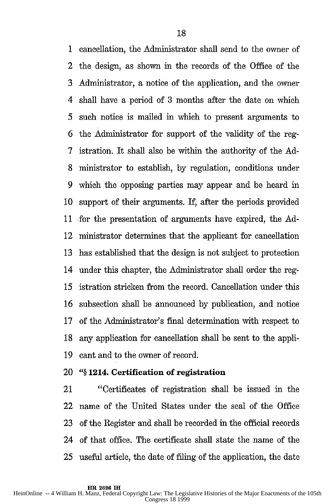1 cancellation, the Administrator shall send to the owner of 2 the design, as shown in the records of the Office of the **3** Administrator, a notice of the application, and the owner 4 shall have a period of 3 months after the date on which 5 such notice is mailed in which to present arguments to 6 the Administrator for support of the validity of the reg-7 istration. It shall also be within the authority of the **Ad-**8 ministrator to establish, by regulation, conditions under 9 which the opposing parties may appear and be heard in 10 support of their arguments. If, after the periods provided 11 for the presentation of arguments have expired, the Ad-12 ministrator determines that the applicant for cancellation 13 has established that the design is not subject to protection 14 under this chapter, the Administrator shall order the reg-15 istration stricken from the record. Cancellation under this 16 subsection shall be announced by publication, and notice 17 of the Administrator's final determination with respect to 18 any application for cancellation shall be sent to the appli-19 cant and to the owner of record.

#### 20 *"§* **1214. Certification of registration**

21 "Certificates of registration shall be issued in the 22 name of the United States under the seal of the Office 23 of the Register and shall be recorded in the official records 24 of that office. The certificate shall state the name of the 25 useful article, the date of filing of the application, the date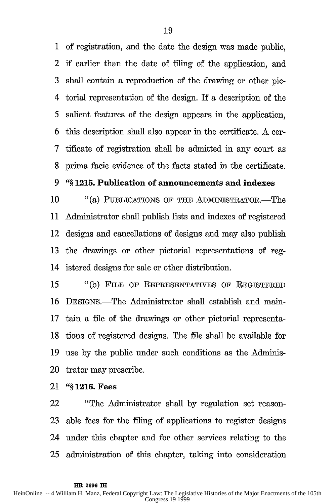1 of registration, and the date the design was made public, 2 if earlier than the date of filing of the application, and **3** shall contain a reproduction of the drawing or other pic-4 torial representation of the design. If a description of the *5* salient features of the design appears in the application, 6 this description shall also appear in the certificate. A cer-7 tificate of registration shall be admitted in any court as 8 prima facie evidence of the facts stated in the certificate.

#### **9** *"§* **1215. Publication of announcements and indexes**

10  $"$ (a) PUBLICATIONS OF THE ADMINISTRATOR.—The 11 Administrator shall publish lists and indexes of registered 12 designs and cancellations of designs and may also publish 13 the drawings or other pictorial representations of reg-14 istered designs for sale or other distribution.

*15* "(b) FILE OF REPRESENTATIVES OF REGISTERED 16 DESIGNS.-The Administrator shall establish and main-17 tain a file of the drawings or other pictorial representa-18 tions of registered designs. The file shall be available for 19 use by the public under such conditions as the Adminis-20 trator may prescribe.

21 **"§ 1216. Fees**

22 "The Administrator shall by regulation set reason-23 able fees for the filing of applications to register designs 24 under this chapter and for other services relating to the **25** administration of this chapter, taking into consideration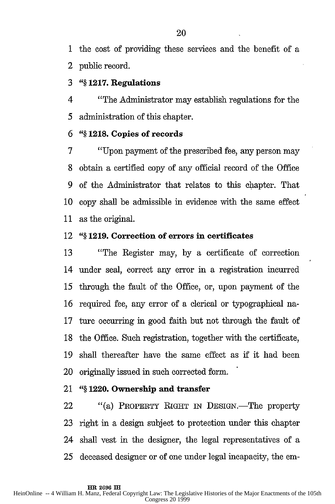1 the cost of providing these services and the benefit of a 2 public record.

#### **3** *"§* **1217. Regulations**

4 "The Administrator may establish regulations for the *5* administration of this chapter.

#### **6** *"§* **1218. Copies of records**

7 "Upon payment of the prescribed fee, any person may 8 obtain a certified copy of any official record of the Office 9 of the Administrator that relates to this chapter. That 10 copy shall be admissible in evidence with the same effect 11 as the original.

#### 12 **"§ 1219. Correction of errors in certificates**

13 "The Register may, **by** a certificate of correction 14 under seal, correct any error in a registration incurred *15* through the fault of the Office, or, upon payment of the 16 required fee, any error of a clerical or typographical na-17 tare occurring in good faith but not through the fault of 18 the Office. Such registration, together with the certificate, 19 shall thereafter have the same effect as if it had been 20 originally issued in such corrected form.

#### 21 *"§* **1220. Ownership and transfer**

22 "(a) PROPERTY RIGHT IN DESIGN.—The property 23 right in a design subject to protection under this chapter 24 shall vest in the designer, the legal representatives of a 25 deceased designer or of one under legal incapacity, the em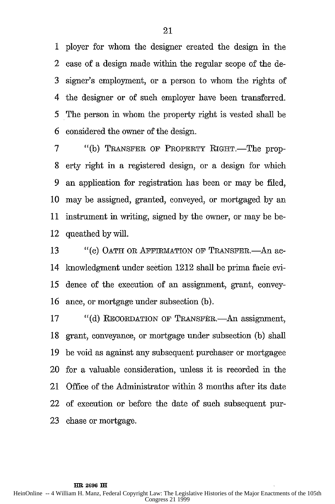1 ployer for whom the designer created the design in the 2 case of a design made within the regular scope of the de-3 signer's employment, or a person to whom the rights of 4 the designer or of such employer have been transferred. *5* The person in whom the property right is vested shall be 6 considered the owner of the design.

7 "(b) TRANSFER OF PROPERTY RIGHT.—The prop-8 erty right in a registered design, or a design for which 9 an application for registration has been or may be filed, 10 may be assigned, granted, conveyed, or mortgaged by an 11 instrument in writing, signed by the owner, or may be be-12 queathed by will.

13 "(c) OATH OR AFFIRMATION OF TRANSFER.—An ac-14 lnowledgment under section 1212 shall be prima facie evi-*15* dence of the execution of an assignment, grant, convey-16 ance, or mortgage under subsection (b).

17 "(d) RECORDATION OF TRANSFER.—An assignment, 18 grant, conveyance, or mortgage under subsection (b) shall 19 be void as against any subsequent purchaser or mortgagee 20 for a valuable consideration, unless it is recorded in the 21 Office of the Administrator within 3 months after its date 22 of execution or before the date of such subsequent pur-23 chase or mortgage.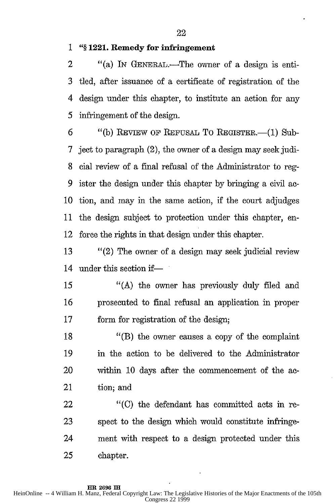**1 "§ 1221. Remedy for infringement**

2 "(a) IN GENERAL.—The owner of a design is enti-3 tled, after issuance of a certificate of registration of the 4 design under this chapter, to institute an action for any 5 infringement of the design.

6 "(b) REVIEW OF REFUSAL TO REGISTER.—(1) Sub-7 ject to paragraph (2), the owner of a design may seek judi-8 cial review of a final refusal of the Administrator to reg-9 ister the design under this chapter by bringing a civil ac-10 tion, and may in the same action, if the court adjudges 11 the design subject to protection under this chapter, en-12 force the rights in that design under this chapter.

13 "(2) The owner of a design may seek judicial review 14 under this section if—

*15* "(A) the owner has previously duly filed and 16 prosecuted to final refusal an application in proper 17 form for registration of the design;

18 "(B) the owner causes a copy of the complaint 19 in the action to be delivered to the Administrator 20 within 10 days after the commencement of the ac-21 tion; and

22 "(C) the defendant has committed acts in re-23 spect to the design which would constitute infringe-24 ment with respect to a design protected under this 25 chapter.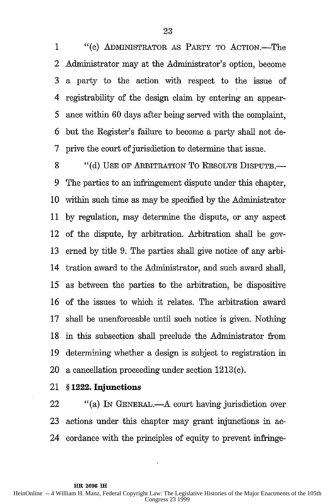1 "(c) ADMINISTRATOR AS PARTY TO ACTION.-The 2 Administrator may at the Administrator's option, become 3 a party to the action with respect to the issue of 4 registrability of the design claim by entering an appear-5 ance within 60 days after being served with the complaint, 6 but the Register's failure to become a party shall not de-7 prive the court of jurisdiction to determine that issue.

8 "(d) USE OF ARBITRATION TO RESOLVE DISPUTE. 9 The parties to an infringement dispute under this chapter, 10 within such time as may be specified by the Administrator 11 by regulation, may determine the dispute, or any aspect 12 of the dispute, by arbitration. Arbitration shall be gov-13 erned by title 9. The parties shall give notice of any arbi-14 tration award to the Administrator, and such award shall, *15* as between the parties to the arbitration, be dispositive 16 of the issues to which it relates. The arbitration award 17 shall be unenforceable until such notice is given. Nothing 18 in this subsection shall preclude the Administrator from 19 determining whether a design is subject to registration in 20 a cancellation proceeding under section 1213(c).

21 **§ 1222. Injunctions**

22 "(a) IN GENERAL.—A court having jurisdiction over 23 actions under this chapter may grant injunctions in ac-24 cordance with the principles of equity to prevent infringe-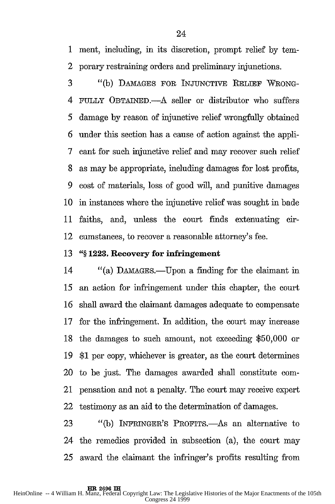1 ment, including, in its discretion, prompt relief by tern-2 porary restraining orders and preliminary injunctions.

3 "(b) DAMAGES FOR INJUNCTIVE RELIEF WRONG-4 FULLY OBTAINED.-A seller or distributor who suffers 5 damage by reason of injunctive relief wrongfully obtained 6 under this section has a cause of action against the appli-7 cant for such injunctive relief and may recover such relief 8 as may be appropriate, including damages for lost profits, 9 cost of materials, loss of good will, and punitive damages 10 in instances where the injunctive relief was sought in bade 11 faiths, and, unless the court finds extenuating cir-12 cumstances, to recover a reasonable attorney's fee.

#### **13** *"§* **1223.** Recovery for infringement

14 "(a) DAMAGES.—Upon a finding for the claimant in *15* an action for infringement under this chapter, the court 16 shall award the claimant damages adequate to compensate 17 for the infringement. In addition, the court may increase 18 the damages to such amount, not exceeding \$50,000 or 19 \$1 per copy, whichever is greater, as the court determines 20 to be just. The damages awarded shall constitute com-21 pensation and not a penalty. The court may receive expert 22 testimony as an aid to the determination of damages.

23 "(b) INFRINGER'S PROFITS.—As an alternative to 24 the remedies provided in subsection (a), the court may 25 award the claimant the infringer's profits resulting from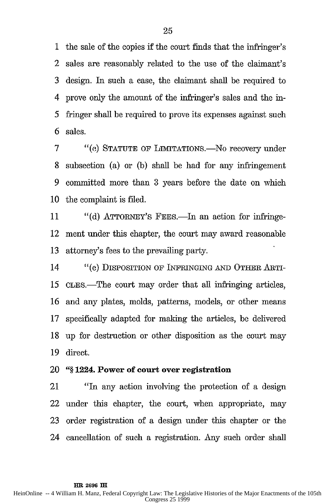1 the sale of the copies if the court finds that the infringer's 2 sales are reasonably related to the use of the claimant's 3 design. In such a case, the claimant shall be required to 4 prove only the amount of the infringer's sales and the in-5 fringer shall be required to prove its expenses against such 6 sales.

7 "(C) STATUTE OF LIMITATONS.-No recovery under 8 subsection (a) or (b) shall be had for any infringement 9 committed more than 3 years before the date on which 10 the complaint is filed.

11 "(d) ATTORNEY'S FEES.—In an action for infringe-12 ment under this chapter, the court may award reasonable 13 attorney's fees to the prevailing party.

14 "(e) DISPOSITION OF INFRINGING **AND** OTHER ARTI-*15* CLEs.-The court may order that all infringing articles, 16 and any plates, molds, patterns, models, or other means 17 specifically adapted for making the articles, be delivered 18 up for destruction or other disposition as the court may 19 direct.

#### 20 **"§ 1224. Power of court over registration**

21 "In any action involving the protection of a design 22 under this chapter, the court, when appropriate, may 23 order registration of a design under this chapter or the 24 cancellation of such a registration. Any such order shall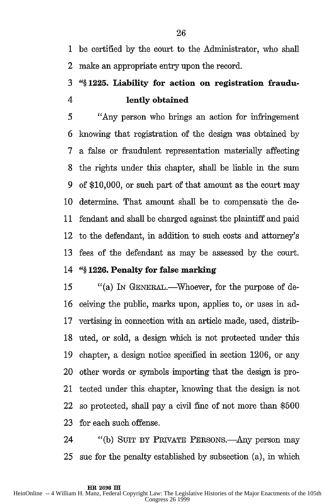1 be certified by the court to the Administrator, who shall 2 make an appropriate entry upon the record.

## **3** *"§* **1225. Liability for action on registration fraudu-**4 **lently obtained**

*5 "Any* person who brings an action for infringement 6 knowing that registration of the design was obtained by 7 a false or fraudulent representation materially affecting 8 the rights under this chapter, shall be liable in the sum 9 of \$10,000, or such part of that amount as the court may 10 determine. That amount shall be to compensate the de-11 fendant and shall be charged against the plaintiff and paid 12 to the defendant, in addition to such costs and attorney's 13 fees of the defendant as may be assessed by the court.

#### 14 *"§* **1226. Penalty for false marking**

15 "(a) In GENERAL.—Whoever, for the purpose of de-16 ceiving the public, marks upon, applies to, or uses in ad-17 vertising in connection with an article made, used, distrib-18 uted, or sold, a design which is not protected under this 19 chapter, a design notice specified in section 1206, or any 20 other words or symbols importing that the design is pro-21 tected under this chapter, knowing that the design is not 22 so protected, shall pay a civil fine of not more than \$500 23 for each such offense.

24 "(b) SUIT BY PRIVATE PERSONS.—Any person may *25* sue for the penalty established by subsection (a), in which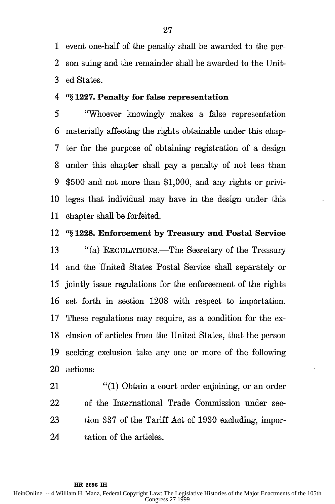1 event one-half of the penalty shall be awarded to the per-2 son suing and the remainder shall be awarded to the Unit-3 ed States.

#### 4 *"§* **1227. Penalty for false representation**

*5* 'Whoever knowingly makes a false representation **6** materially affecting the rights obtainable under this chap-7 ter for the purpose of obtaining registration of a design 8 under this chapter shall pay a penalty of not less than 9 \$500 and not more than \$1,000, and any rights or privi-10 leges that individual may have in the design under this 11 chapter shall be forfeited.

#### 12 **"§ 1228. Enforcement by Treasury and Postal Service**

**13** "(a) REGULATIONS.-The Secretary of the Treasury 14 and the United States Postal Service shall separately or *15* jointly issue regulations for the enforcement of the rights 16 set forth in section 1208 with respect to importation. 17 These regulations may require, as a condition for the ex-18 clusion of articles from the United States, that the person 19 seeking exclusion take any one or more of the following 20 actions:

21 "(1) Obtain a court order enjoining, or an order 22 of the International Trade Commission under sec-23 tion 337 of the Tariff Act of 1930 excluding, impor-24 tation of the articles.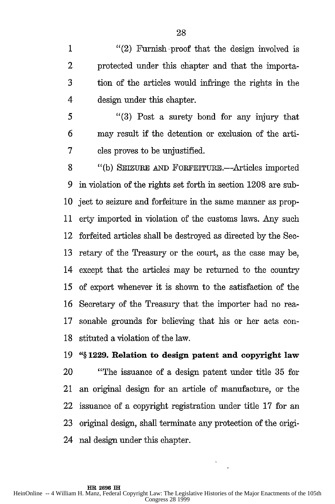1 "(2) Furnish proof that the design involved is 2 protected under this chapter and that the importa-3 tion of the articles would infringe the rights in the 4 design under this chapter.

<sup>5</sup>"(3) Post a surety bond for any injury that 6 may result if the detention or exclusion of the arti-7 cles proves to be unjustified.

8 "(b) SEIZURE **AND** FoRFEITURE.-Articles imported **9** in violation of the rights set forth in section 1208 are sub-10 ject to seizure and forfeiture in the same manner as prop-11 erty imported in violation of the customs laws. Any such 12 forfeited articles shall be destroyed as directed by the Sec-13 retary of the Treasury or the court, as the case may be, 14 except that the articles may be returned to the country 15 of export whenever it is shown to the satisfaction of the 16 Secretary of the Treasury that the importer had no rea-**17** sonable grounds for believing that his or her acts con-18 stituted a violation of the law.

**19** *"§* **1229. Relation to design patent and copyright law** 20 "The issuance of a design patent under title 35 for 21 an original design for an article of manufacture, or the 22 issuance of a copyright registration under title 17 for an 23 original design, shall terminate any protection of the origi-24 nal design under this chapter.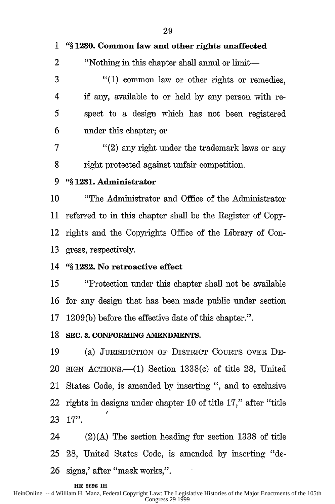| $\mathbf{1}$ | "§1230. Common law and other rights unaffected                |
|--------------|---------------------------------------------------------------|
| 2            | "Nothing in this chapter shall annul or limit—                |
| 3            | "(1) common law or other rights or remedies,                  |
| 4            | if any, available to or held by any person with re-           |
| 5            | spect to a design which has not been registered               |
| 6            | under this chapter; or                                        |
| 7            | "(2) any right under the trademark laws or any                |
| 8            | right protected against unfair competition.                   |
| 9            | "§1231. Administrator                                         |
| 10           | "The Administrator and Office of the Administrator            |
| 11           | referred to in this chapter shall be the Register of Copy-    |
| 12           | rights and the Copyrights Office of the Library of Con-       |
| 13           | gress, respectively.                                          |
| 14           | "§1232. No retroactive effect                                 |
| 15           | "Protection under this chapter shall not be available         |
| 16           | for any design that has been made public under section        |
| 17           | 1209(b) before the effective date of this chapter.".          |
| 18           | SEC. 3. CONFORMING AMENDMENTS.                                |
| 19           | (a) JURISDICTION OF DISTRICT COURTS OVER DE-                  |
| 20           | $STGN$ ACTIONS.—(1) Section 1338(c) of title 28, United       |
| 21           | States Code, is amended by inserting ", and to exclusive      |
| 22           | rights in designs under chapter 10 of title 17," after "title |
| 23           | $17$ ".                                                       |
| 24           | $(2)(A)$ The section heading for section 1338 of title        |

25 28, United States Code, is amended by inserting "de-26 signs,' after "mask works,".

#### **HR 2696 IH**